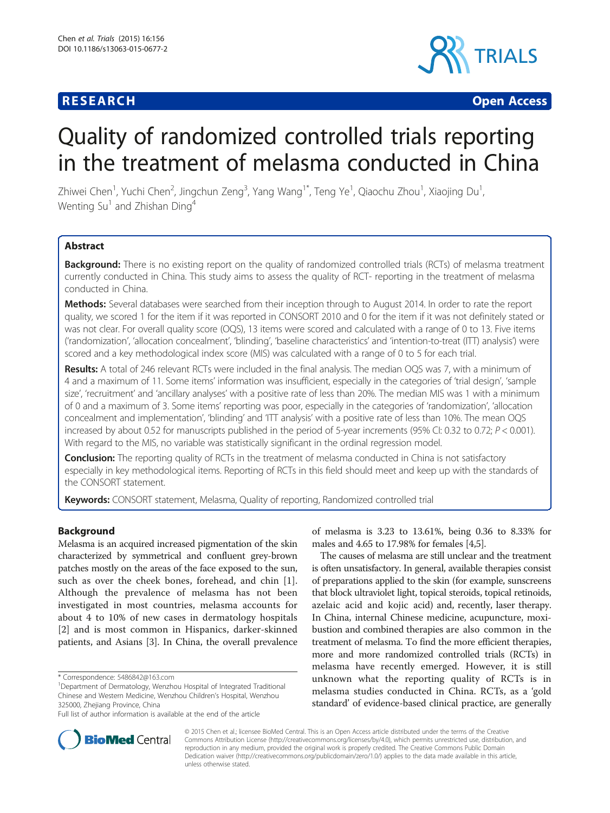## **RESEARCH CHEAR CHEAR CHEAR CHEAR CHEAR CHEAR CHEAR CHEAR CHEAR CHEAR CHEAR CHEAR CHEAR CHEAR CHEAR CHEAR CHEAR**



# Quality of randomized controlled trials reporting in the treatment of melasma conducted in China

Zhiwei Chen<sup>1</sup>, Yuchi Chen<sup>2</sup>, Jingchun Zeng<sup>3</sup>, Yang Wang<sup>1\*</sup>, Teng Ye<sup>1</sup>, Qiaochu Zhou<sup>1</sup>, Xiaojing Du<sup>1</sup> , Wenting Su<sup>1</sup> and Zhishan Ding<sup>4</sup>

## **Abstract**

**Background:** There is no existing report on the quality of randomized controlled trials (RCTs) of melasma treatment currently conducted in China. This study aims to assess the quality of RCT- reporting in the treatment of melasma conducted in China.

Methods: Several databases were searched from their inception through to August 2014. In order to rate the report quality, we scored 1 for the item if it was reported in CONSORT 2010 and 0 for the item if it was not definitely stated or was not clear. For overall quality score (OQS), 13 items were scored and calculated with a range of 0 to 13. Five items ('randomization', 'allocation concealment', 'blinding', 'baseline characteristics' and 'intention-to-treat (ITT) analysis') were scored and a key methodological index score (MIS) was calculated with a range of 0 to 5 for each trial.

Results: A total of 246 relevant RCTs were included in the final analysis. The median OQS was 7, with a minimum of 4 and a maximum of 11. Some items' information was insufficient, especially in the categories of 'trial design', 'sample size', 'recruitment' and 'ancillary analyses' with a positive rate of less than 20%. The median MIS was 1 with a minimum of 0 and a maximum of 3. Some items' reporting was poor, especially in the categories of 'randomization', 'allocation concealment and implementation', 'blinding' and 'ITT analysis' with a positive rate of less than 10%. The mean OQS increased by about 0.52 for manuscripts published in the period of 5-year increments (95% CI: 0.32 to 0.72;  $P < 0.001$ ). With regard to the MIS, no variable was statistically significant in the ordinal regression model.

**Conclusion:** The reporting quality of RCTs in the treatment of melasma conducted in China is not satisfactory especially in key methodological items. Reporting of RCTs in this field should meet and keep up with the standards of the CONSORT statement.

Keywords: CONSORT statement, Melasma, Quality of reporting, Randomized controlled trial

## Background

Melasma is an acquired increased pigmentation of the skin characterized by symmetrical and confluent grey-brown patches mostly on the areas of the face exposed to the sun, such as over the cheek bones, forehead, and chin [\[1](#page-4-0)]. Although the prevalence of melasma has not been investigated in most countries, melasma accounts for about 4 to 10% of new cases in dermatology hospitals [[2\]](#page-4-0) and is most common in Hispanics, darker-skinned patients, and Asians [[3\]](#page-4-0). In China, the overall prevalence

of melasma is 3.23 to 13.61%, being 0.36 to 8.33% for males and 4.65 to 17.98% for females [\[4,5\]](#page-4-0).

The causes of melasma are still unclear and the treatment is often unsatisfactory. In general, available therapies consist of preparations applied to the skin (for example, sunscreens that block ultraviolet light, topical steroids, topical retinoids, azelaic acid and kojic acid) and, recently, laser therapy. In China, internal Chinese medicine, acupuncture, moxibustion and combined therapies are also common in the treatment of melasma. To find the more efficient therapies, more and more randomized controlled trials (RCTs) in melasma have recently emerged. However, it is still unknown what the reporting quality of RCTs is in melasma studies conducted in China. RCTs, as a 'gold standard' of evidence-based clinical practice, are generally



© 2015 Chen et al.; licensee BioMed Central. This is an Open Access article distributed under the terms of the Creative Commons Attribution License [\(http://creativecommons.org/licenses/by/4.0\)](http://creativecommons.org/licenses/by/4.0), which permits unrestricted use, distribution, and reproduction in any medium, provided the original work is properly credited. The Creative Commons Public Domain Dedication waiver [\(http://creativecommons.org/publicdomain/zero/1.0/](http://creativecommons.org/publicdomain/zero/1.0/)) applies to the data made available in this article, unless otherwise stated.

<sup>\*</sup> Correspondence: [5486842@163.com](mailto:5486842@163.com) <sup>1</sup>

Department of Dermatology, Wenzhou Hospital of Integrated Traditional Chinese and Western Medicine, Wenzhou Children's Hospital, Wenzhou 325000, Zhejiang Province, China

Full list of author information is available at the end of the article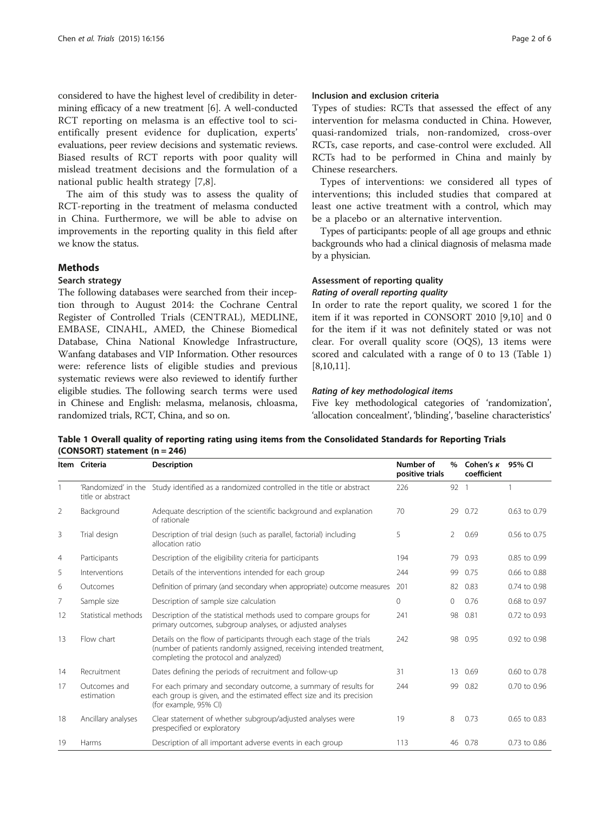<span id="page-1-0"></span>considered to have the highest level of credibility in determining efficacy of a new treatment [[6](#page-4-0)]. A well-conducted RCT reporting on melasma is an effective tool to scientifically present evidence for duplication, experts' evaluations, peer review decisions and systematic reviews. Biased results of RCT reports with poor quality will mislead treatment decisions and the formulation of a national public health strategy [\[7,8](#page-5-0)].

The aim of this study was to assess the quality of RCT-reporting in the treatment of melasma conducted in China. Furthermore, we will be able to advise on improvements in the reporting quality in this field after we know the status.

#### Methods

## Search strategy

The following databases were searched from their inception through to August 2014: the Cochrane Central Register of Controlled Trials (CENTRAL), MEDLINE, EMBASE, CINAHL, AMED, the Chinese Biomedical Database, China National Knowledge Infrastructure, Wanfang databases and VIP Information. Other resources were: reference lists of eligible studies and previous systematic reviews were also reviewed to identify further eligible studies. The following search terms were used in Chinese and English: melasma, melanosis, chloasma, randomized trials, RCT, China, and so on.

#### Inclusion and exclusion criteria

Types of studies: RCTs that assessed the effect of any intervention for melasma conducted in China. However, quasi-randomized trials, non-randomized, cross-over RCTs, case reports, and case-control were excluded. All RCTs had to be performed in China and mainly by Chinese researchers.

Types of interventions: we considered all types of interventions; this included studies that compared at least one active treatment with a control, which may be a placebo or an alternative intervention.

Types of participants: people of all age groups and ethnic backgrounds who had a clinical diagnosis of melasma made by a physician.

## Assessment of reporting quality Rating of overall reporting quality

In order to rate the report quality, we scored 1 for the item if it was reported in CONSORT 2010 [\[9,10](#page-5-0)] and 0 for the item if it was not definitely stated or was not clear. For overall quality score (OQS), 13 items were scored and calculated with a range of 0 to 13 (Table 1) [[8,10,11\]](#page-5-0).

## Rating of key methodological items

Five key methodological categories of 'randomization', 'allocation concealment', 'blinding', 'baseline characteristics'

Table 1 Overall quality of reporting rating using items from the Consolidated Standards for Reporting Trials (CONSORT) statement (n = 246)

|    | Item Criteria                            | <b>Description</b>                                                                                                                                                                    | Number of<br>positive trials | $\%$          | Cohen's $\kappa$<br>coefficient | 95% CI           |
|----|------------------------------------------|---------------------------------------------------------------------------------------------------------------------------------------------------------------------------------------|------------------------------|---------------|---------------------------------|------------------|
|    | 'Randomized' in the<br>title or abstract | Study identified as a randomized controlled in the title or abstract                                                                                                                  | 226                          | 92 1          |                                 | $\mathbf{1}$     |
| 2  | Background                               | Adequate description of the scientific background and explanation<br>of rationale                                                                                                     | 70                           | 29            | 0.72                            | 0.63 to 0.79     |
| 3  | Trial design                             | Description of trial design (such as parallel, factorial) including<br>allocation ratio                                                                                               | 5                            | $\mathcal{P}$ | 0.69                            | $0.56$ to $0.75$ |
| 4  | Participants                             | Description of the eligibility criteria for participants                                                                                                                              | 194                          |               | 79 0.93                         | 0.85 to 0.99     |
| 5  | Interventions                            | Details of the interventions intended for each group                                                                                                                                  | 244                          | 99            | 0.75                            | 0.66 to 0.88     |
| 6  | Outcomes                                 | Definition of primary (and secondary when appropriate) outcome measures                                                                                                               | 201                          | 82            | 0.83                            | 0.74 to 0.98     |
| 7  | Sample size                              | Description of sample size calculation                                                                                                                                                | $\Omega$                     | $\Omega$      | 0.76                            | 0.68 to 0.97     |
| 12 | Statistical methods                      | Description of the statistical methods used to compare groups for<br>primary outcomes, subgroup analyses, or adjusted analyses                                                        | 241                          | 98            | 0.81                            | 0.72 to 0.93     |
| 13 | Flow chart                               | Details on the flow of participants through each stage of the trials<br>(number of patients randomly assigned, receiving intended treatment,<br>completing the protocol and analyzed) | 242                          | 98            | 0.95                            | $0.92$ to $0.98$ |
| 14 | Recruitment                              | Dates defining the periods of recruitment and follow-up                                                                                                                               | 31                           | $13 -$        | 0.69                            | 0.60 to 0.78     |
| 17 | Outcomes and<br>estimation               | For each primary and secondary outcome, a summary of results for<br>each group is given, and the estimated effect size and its precision<br>(for example, 95% CI)                     | 244                          | 99            | 0.82                            | $0.70$ to $0.96$ |
| 18 | Ancillary analyses                       | Clear statement of whether subgroup/adjusted analyses were<br>prespecified or exploratory                                                                                             | 19                           | 8             | 0.73                            | $0.65$ to $0.83$ |
| 19 | Harms                                    | Description of all important adverse events in each group                                                                                                                             | 113                          |               | 46 0.78                         | $0.73$ to $0.86$ |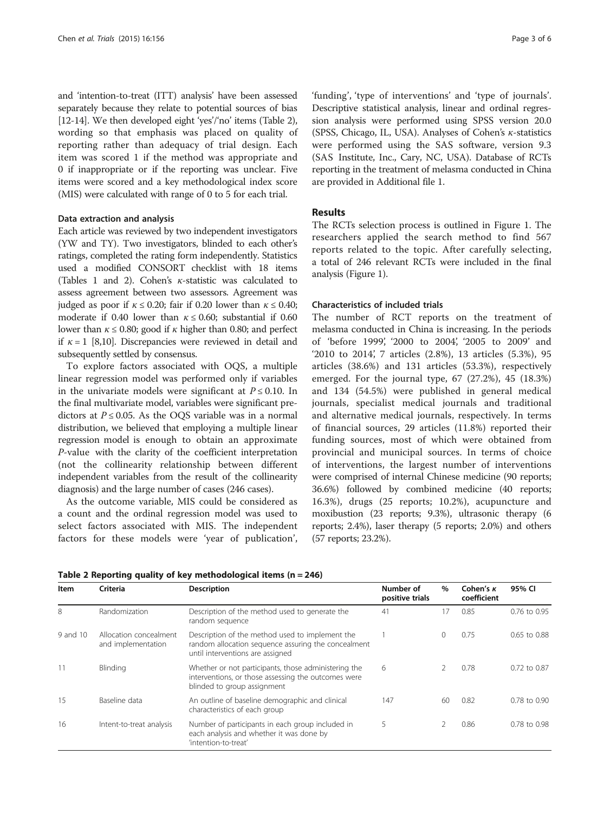<span id="page-2-0"></span>and 'intention-to-treat (ITT) analysis' have been assessed separately because they relate to potential sources of bias [[12](#page-5-0)-[14](#page-5-0)]. We then developed eight 'yes'/'no' items (Table 2), wording so that emphasis was placed on quality of reporting rather than adequacy of trial design. Each item was scored 1 if the method was appropriate and 0 if inappropriate or if the reporting was unclear. Five items were scored and a key methodological index score (MIS) were calculated with range of 0 to 5 for each trial.

#### Data extraction and analysis

Each article was reviewed by two independent investigators (YW and TY). Two investigators, blinded to each other's ratings, completed the rating form independently. Statistics used a modified CONSORT checklist with 18 items (Tables [1](#page-1-0) and 2). Cohen's  $\kappa$ -statistic was calculated to assess agreement between two assessors. Agreement was judged as poor if  $\kappa \le 0.20$ ; fair if 0.20 lower than  $\kappa \le 0.40$ ; moderate if 0.40 lower than  $\kappa \le 0.60$ ; substantial if 0.60 lower than  $\kappa \le 0.80$ ; good if  $\kappa$  higher than 0.80; and perfect if  $\kappa = 1$  [\[8,10\]](#page-5-0). Discrepancies were reviewed in detail and subsequently settled by consensus.

To explore factors associated with OQS, a multiple linear regression model was performed only if variables in the univariate models were significant at  $P \le 0.10$ . In the final multivariate model, variables were significant predictors at  $P \le 0.05$ . As the OQS variable was in a normal distribution, we believed that employing a multiple linear regression model is enough to obtain an approximate P-value with the clarity of the coefficient interpretation (not the collinearity relationship between different independent variables from the result of the collinearity diagnosis) and the large number of cases (246 cases).

As the outcome variable, MIS could be considered as a count and the ordinal regression model was used to select factors associated with MIS. The independent factors for these models were 'year of publication', 'funding', 'type of interventions' and 'type of journals'. Descriptive statistical analysis, linear and ordinal regression analysis were performed using SPSS version 20.0 (SPSS, Chicago, IL, USA). Analyses of Cohen's к-statistics were performed using the SAS software, version 9.3 (SAS Institute, Inc., Cary, NC, USA). Database of RCTs reporting in the treatment of melasma conducted in China are provided in Additional file [1](#page-4-0).

## Results

The RCTs selection process is outlined in Figure [1.](#page-3-0) The researchers applied the search method to find 567 reports related to the topic. After carefully selecting, a total of 246 relevant RCTs were included in the final analysis (Figure [1\)](#page-3-0).

## Characteristics of included trials

The number of RCT reports on the treatment of melasma conducted in China is increasing. In the periods of 'before 1999', '2000 to 2004', '2005 to 2009' and '2010 to 2014', 7 articles (2.8%), 13 articles (5.3%), 95 articles (38.6%) and 131 articles (53.3%), respectively emerged. For the journal type, 67 (27.2%), 45 (18.3%) and 134 (54.5%) were published in general medical journals, specialist medical journals and traditional and alternative medical journals, respectively. In terms of financial sources, 29 articles (11.8%) reported their funding sources, most of which were obtained from provincial and municipal sources. In terms of choice of interventions, the largest number of interventions were comprised of internal Chinese medicine (90 reports; 36.6%) followed by combined medicine (40 reports; 16.3%), drugs (25 reports; 10.2%), acupuncture and moxibustion (23 reports; 9.3%), ultrasonic therapy (6 reports; 2.4%), laser therapy (5 reports; 2.0%) and others (57 reports; 23.2%).

Table 2 Reporting quality of key methodological items (n = 246)

| Item     | Criteria                                     | <b>Description</b>                                                                                                                         | Number of<br>positive trials | $\%$ | Cohen's $\kappa$<br>coefficient | 95% CI           |
|----------|----------------------------------------------|--------------------------------------------------------------------------------------------------------------------------------------------|------------------------------|------|---------------------------------|------------------|
| 8        | Randomization                                | Description of the method used to generate the<br>random sequence                                                                          | 41                           | 17   | 0.85                            | 0.76 to 0.95     |
| 9 and 10 | Allocation concealment<br>and implementation | Description of the method used to implement the<br>random allocation sequence assuring the concealment<br>until interventions are assigned |                              | 0    | 0.75                            | 0.65 to 0.88     |
|          | Blinding                                     | Whether or not participants, those administering the<br>interventions, or those assessing the outcomes were<br>blinded to group assignment | 6                            |      | 0.78                            | $0.72$ to $0.87$ |
| 15       | Baseline data                                | An outline of baseline demographic and clinical<br>characteristics of each group                                                           | 147                          | 60   | 0.82                            | 0.78 to 0.90     |
| 16       | Intent-to-treat analysis                     | Number of participants in each group included in<br>each analysis and whether it was done by<br>'intention-to-treat'                       | 5                            |      | 0.86                            | 0.78 to 0.98     |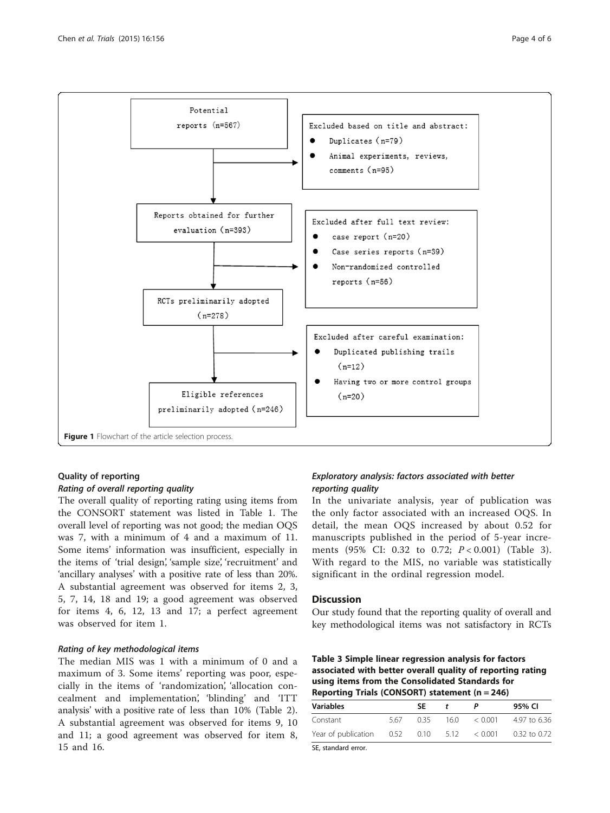<span id="page-3-0"></span>

## Quality of reporting Rating of overall reporting quality

The overall quality of reporting rating using items from the CONSORT statement was listed in Table [1.](#page-1-0) The overall level of reporting was not good; the median OQS was 7, with a minimum of 4 and a maximum of 11. Some items' information was insufficient, especially in the items of 'trial design', 'sample size', 'recruitment' and 'ancillary analyses' with a positive rate of less than 20%. A substantial agreement was observed for items 2, 3, 5, 7, 14, 18 and 19; a good agreement was observed for items 4, 6, 12, 13 and 17; a perfect agreement was observed for item 1.

## Rating of key methodological items

The median MIS was 1 with a minimum of 0 and a maximum of 3. Some items' reporting was poor, especially in the items of 'randomization', 'allocation concealment and implementation', 'blinding' and 'ITT analysis' with a positive rate of less than 10% (Table [2](#page-2-0)). A substantial agreement was observed for items 9, 10 and 11; a good agreement was observed for item 8, 15 and 16.

## Exploratory analysis: factors associated with better reporting quality

In the univariate analysis, year of publication was the only factor associated with an increased OQS. In detail, the mean OQS increased by about 0.52 for manuscripts published in the period of 5-year increments (95% CI: 0.32 to 0.72;  $P < 0.001$ ) (Table 3). With regard to the MIS, no variable was statistically significant in the ordinal regression model.

#### **Discussion**

Our study found that the reporting quality of overall and key methodological items was not satisfactory in RCTs

Table 3 Simple linear regression analysis for factors associated with better overall quality of reporting rating using items from the Consolidated Standards for Reporting Trials (CONSORT) statement (n = 246)

| <b>Variables</b>    |           | SE. |      |         | 95% CI       |  |
|---------------------|-----------|-----|------|---------|--------------|--|
| Constant            | 567       | 035 | 160  | < 0.001 | 4.97 to 6.36 |  |
| Year of publication | 0.52 0.10 |     | 5.12 | < 0.001 | 0.32 to 0.72 |  |

SE, standard error.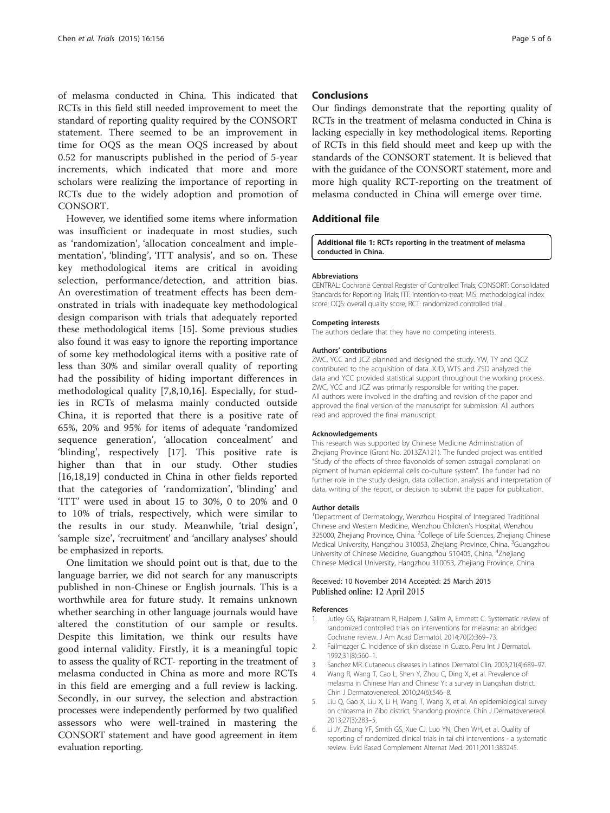<span id="page-4-0"></span>of melasma conducted in China. This indicated that RCTs in this field still needed improvement to meet the standard of reporting quality required by the CONSORT statement. There seemed to be an improvement in time for OQS as the mean OQS increased by about 0.52 for manuscripts published in the period of 5-year increments, which indicated that more and more scholars were realizing the importance of reporting in RCTs due to the widely adoption and promotion of CONSORT.

However, we identified some items where information was insufficient or inadequate in most studies, such as 'randomization', 'allocation concealment and implementation', 'blinding', 'ITT analysis', and so on. These key methodological items are critical in avoiding selection, performance/detection, and attrition bias. An overestimation of treatment effects has been demonstrated in trials with inadequate key methodological design comparison with trials that adequately reported these methodological items [[15](#page-5-0)]. Some previous studies also found it was easy to ignore the reporting importance of some key methodological items with a positive rate of less than 30% and similar overall quality of reporting had the possibility of hiding important differences in methodological quality [[7,8](#page-5-0),[10,16\]](#page-5-0). Especially, for studies in RCTs of melasma mainly conducted outside China, it is reported that there is a positive rate of 65%, 20% and 95% for items of adequate 'randomized sequence generation', 'allocation concealment' and 'blinding', respectively [[17](#page-5-0)]. This positive rate is higher than that in our study. Other studies [[16,18,19](#page-5-0)] conducted in China in other fields reported that the categories of 'randomization', 'blinding' and 'ITT' were used in about 15 to 30%, 0 to 20% and 0 to 10% of trials, respectively, which were similar to the results in our study. Meanwhile, 'trial design', 'sample size', 'recruitment' and 'ancillary analyses' should be emphasized in reports.

One limitation we should point out is that, due to the language barrier, we did not search for any manuscripts published in non-Chinese or English journals. This is a worthwhile area for future study. It remains unknown whether searching in other language journals would have altered the constitution of our sample or results. Despite this limitation, we think our results have good internal validity. Firstly, it is a meaningful topic to assess the quality of RCT- reporting in the treatment of melasma conducted in China as more and more RCTs in this field are emerging and a full review is lacking. Secondly, in our survey, the selection and abstraction processes were independently performed by two qualified assessors who were well-trained in mastering the CONSORT statement and have good agreement in item evaluation reporting.

#### Conclusions

Our findings demonstrate that the reporting quality of RCTs in the treatment of melasma conducted in China is lacking especially in key methodological items. Reporting of RCTs in this field should meet and keep up with the standards of the CONSORT statement. It is believed that with the guidance of the CONSORT statement, more and more high quality RCT-reporting on the treatment of melasma conducted in China will emerge over time.

## Additional file

[Additional file 1:](http://www.trialsjournal.com/content/supplementary/s13063-015-0677-2-s1.xlsx) RCTs reporting in the treatment of melasma conducted in China.

#### Abbreviations

CENTRAL: Cochrane Central Register of Controlled Trials; CONSORT: Consolidated Standards for Reporting Trials; ITT: intention-to-treat; MIS: methodological index score; OQS: overall quality score; RCT: randomized controlled trial.

#### Competing interests

The authors declare that they have no competing interests.

#### Authors' contributions

ZWC, YCC and JCZ planned and designed the study. YW, TY and QCZ contributed to the acquisition of data. XJD, WTS and ZSD analyzed the data and YCC provided statistical support throughout the working process. ZWC, YCC and JCZ was primarily responsible for writing the paper. All authors were involved in the drafting and revision of the paper and approved the final version of the manuscript for submission. All authors read and approved the final manuscript.

#### Acknowledgements

This research was supported by Chinese Medicine Administration of Zhejiang Province (Grant No. 2013ZA121). The funded project was entitled "Study of the effects of three flavonoids of semen astragali complanati on pigment of human epidermal cells co-culture system". The funder had no further role in the study design, data collection, analysis and interpretation of data, writing of the report, or decision to submit the paper for publication.

#### Author details

<sup>1</sup>Department of Dermatology, Wenzhou Hospital of Integrated Traditional Chinese and Western Medicine, Wenzhou Children's Hospital, Wenzhou 325000, Zhejiang Province, China. <sup>2</sup>College of Life Sciences, Zhejiang Chinese Medical University, Hangzhou 310053, Zhejiang Province, China. <sup>3</sup>Guangzhou University of Chinese Medicine, Guangzhou 510405, China. <sup>4</sup>Zhejiang Chinese Medical University, Hangzhou 310053, Zhejiang Province, China.

#### Received: 10 November 2014 Accepted: 25 March 2015 Published online: 12 April 2015

#### References

- 1. Jutley GS, Rajaratnam R, Halpern J, Salim A, Emmett C. Systematic review of randomized controlled trials on interventions for melasma: an abridged Cochrane review. J Am Acad Dermatol. 2014;70(2):369–73.
- 2. Failmezger C. Incidence of skin disease in Cuzco. Peru Int J Dermatol. 1992;31(8):560–1.
- 3. Sanchez MR. Cutaneous diseases in Latinos. Dermatol Clin. 2003;21(4):689–97.
- Wang R, Wang T, Cao L, Shen Y, Zhou C, Ding X, et al. Prevalence of melasma in Chinese Han and Chinese Yi: a survey in Liangshan district. Chin J Dermatovenereol. 2010;24(6):546–8.
- 5. Liu Q, Gao X, Liu X, Li H, Wang T, Wang X, et al. An epidemiological survey on chloasma in Zibo district, Shandong province. Chin J Dermatovenereol. 2013;27(3):283–5.
- 6. Li JY, Zhang YF, Smith GS, Xue CJ, Luo YN, Chen WH, et al. Quality of reporting of randomized clinical trials in tai chi interventions - a systematic review. Evid Based Complement Alternat Med. 2011;2011:383245.